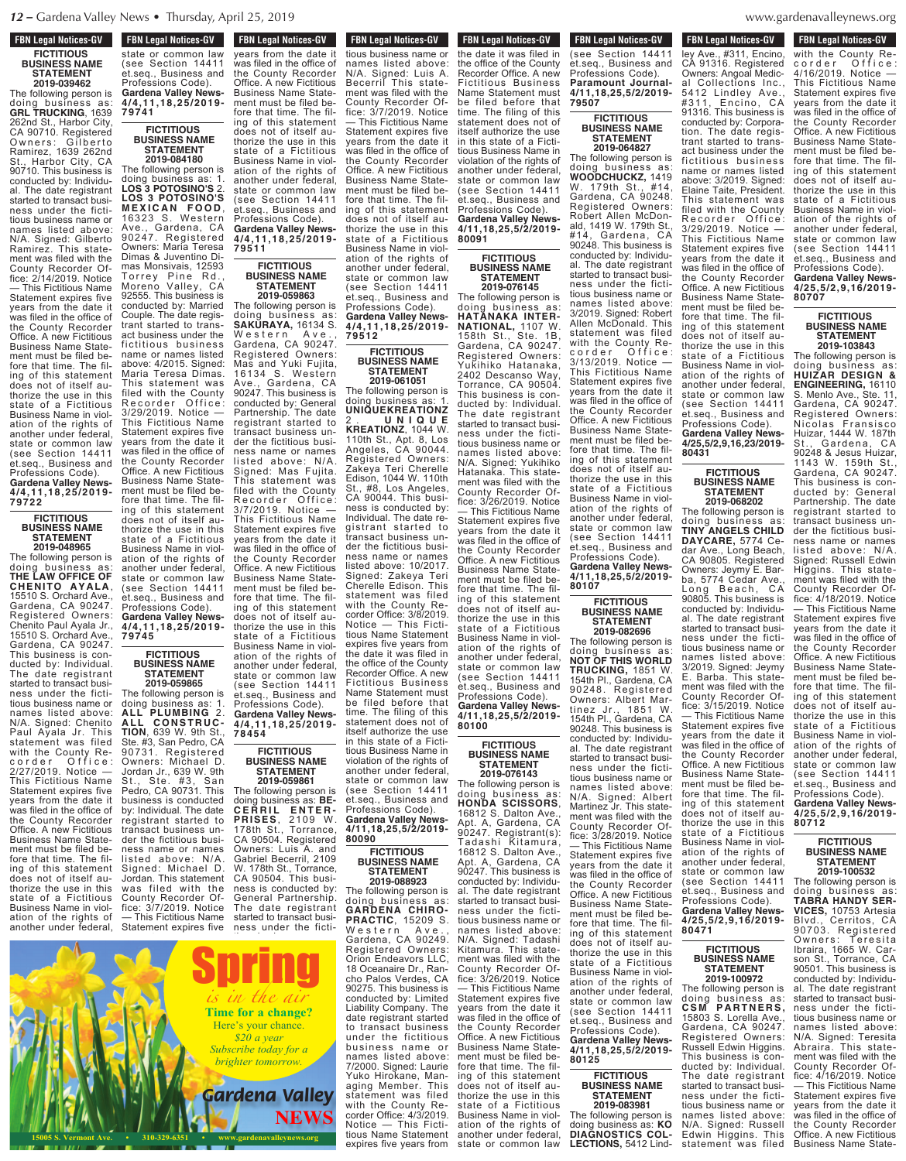### **FBN Legal Notices-GV FICTITIOUS BUSINESS NAME STATEMENT 2019-039462**

The following person is doing business as: **GRL TRUCKING**, 1639 262nd St., Harbor City, CA 90710. Registered Owners: Gilberto Owners: Gilberto<br>Ramirez, 1639 262nd St., Harbor City, CA 90710. This business is conducted by: Individual. The date registrant started to transact business under the fictitious business name or names listed above: N/A. Signed: Gilberto Ramirez. This statement was filed with the County Recorder Office: 2/14/2019. Notice — This Fictitious Name Statement expires five years from the date it was filed in the office of the County Recorder Office. A new Fictitious Business Name Statement must be filed before that time. The filing of this statement does not of itself authorize the use in this state of a Fictitious Business Name in violation of the rights of another under federal, state or common law (see Section 14411 et.seq., Business and Professions Code). **Gardena Valley News-4/4,11,18,25/2019-**

### **FICTITIOUS BUSINESS NAME STATEMENT 2019-048965**

**79722**

**79745**

**FICTITIOUS**

**STATEMENT 2019-059865**

régistrant started transact business under the fictitious business name or names listed above: N/A<br>Signed: Michael D Michael D Jordan. This statement was filed with the County Recorder Office: 3/7/2019. Notice — This Fictitious Name Statement expires five

The following person is doing business as: **THE LAW OFFICE OF CHENITO AYALA**, 15510 S. Orchard Ave., Gardena, CA 90247. Registered Owners: Chenito Paul Ayala Jr., 15510 S. Orchard Ave., Gardena, CA 90247. This business is conducted by: Individual. The date registrant started to transact business under the fictitious business name or names listed above: N/A. Signed: Chenito Paul Ayala Jr. This statement was filed with the County Recorder Office: 2/27/2019. Notice — This Fictitious Name Statement expires five years from the date it was filed in the office of County Recorder Office. A new Fictitious Business Name Statement must be filed before that time. The filing of this statement does not of itself authorize the use in this state of a Fictitious Business Name in violation of the rights of another under federal,

**FBN Legal Notices-GV TEN LEGAL NULLES-GV** state or common law (see Section 14411 et.seq., Business and Professions Code). **Gardena Valley News-4/4,11,18,25/2019- 79741**

#### **FICTITIOUS BUSINESS NAME STATEMENT 2019-084180**

mas Monsivais, 12593 Torrey Pine Rd., Moreno Valley, CA 92555. This business is

Business Name in violation of the rights of another under federal, state or common law (see Section 14411 et.seq., Business and Professions Code). **Gardena Valley News-4/4,11,18,25/2019- 79511** The following person is doing business as: 1. **LOS 3 POTOSINO'S** 2. **LOS 3 POTOSINO'S M E X I C A N F O O D** , 16323 S. Western Ave., Gardena, CA 90247. Registered Owners: Maria Teresa Dimas & Juventino Di-

#### **FICTITIOUS BUSINESS NAME STATEMENT 2019-059863**

The following person is doing business as: **SAKURAYA,** 16134 S. Western Ave., Gardena, CA 90247. Registered Owners: Mas and Yuki Fujita, 16134 S. Western Ave., Gardena, CA 90247. This business is conducted by: General Partnership. The date registrant started to transact business under the fictitious business name or names listed above: N/A. Signed: Mas Fujita. This statement was filed with the County Recorder Office: 3/7/2019. Notice — This Fictitious Name Statement expires five years from the date it as filed in the office of the County Recorder Office. A new Fictitious Business Name Statement must be filed before that time. The filing of this statement conducted by: Married Couple. The date registrant started to transact business under the fictitious business name or names listed above: 4/2015. Signed: Maria Teresa Dimas. This statement was filed with the County Recorder Office: 3/29/2019. Notice — This Fictitious Name Statement expires five years from the date it was filed in the office of the County Recorder Office. A new Fictitious Business Name Statement must be filed before that time. The filing of this statement does not of itself authorize the use in this state of a Fictitious Business Name in violation of the rights of another under federal, state or common law (see Section 14411 et.seq., Business and Professions Code). **Gardena Valley News-4/4,11,18,25/2019- BUSINESS NAME**

> The following person is doing business as: **BE-C E R R I L E N T E R - PRISES**, 2109 W. 178th St., Torrance CA 90504. Registered Owners: Luis A. and Gabriel Becerril, 2109 W. 178th St., Torrance, CA 90504. This business is conducted by: General Partnership. The date registrant started to transact business under the ficti-





**FBN Legal Notices-GV** rbiv Leyal Nutiles-dv tious business name or names listed above: N/A. Signed: Luis A. This statement was filed with the County Recorder Office: 3/7/2019. Notice — This Fictitious Name Statement expires five years from the date it was filed in the office of the County Recorder Office. A new Fictitious Business Name Statement must be filed before that time. The filing of this statement does not of itself authorize the use in this state of a Fictitious Business Name in violation of the rights of another under federal, state or common law (see Section 14411 et.seq., Business and Professions Code). **Gardena Valley News-FBN Legal Notices-GV FON LEGAL NULLES-GV** years from the date it was filed in the office of the County Recorder Office. A new Fictitious Business Name Statement must be filed before that time. The filing of this statement does not of itself authorize the use in this state of a Fictitious

### **FICTITIOUS BUSINESS NAME STEMENT 2019-061051**

**4/4,11,18,25/2019-**

**79512**

The following person is doing business as: 1. **UNIQUEKREATIONZ** 2 . **U N I Q U E KREATIONZ**, 1044 W. 110th St., Apt. 8, Los Angeles, CA 90044. Registered Owners: Zakeya Teri Cherelle Edison, 1044 W. 110th St., #8, Los Angeles, CA 90044. This business is conducted by: Individual. The date registrant started to transact business under the fictitious business name or names listed above: 10/2017. Signed: Zakeya Teri Cherelle Edison. This statement was filed with the County Recorder Office: 3/8/2019. Notice — This Fictitious Name Statement expires five years from the date it was filed in the office of the County Recorder Office. A new Fictitious Business Name Statement must be filed before that time. The filing of this statement does not of itself authorize the use in this state of a Fictitious Business Name in violation of the rights of another under federal, state or common law (see Section 14411 et.seq., Business and Professions Code). **Gardena Valley News-4/11,18,25,5/2/2019- 80090**

#### **FICTITIOUS BUSINESS NAME STATEMENT 2019-088923**

The following person is doing business as: **GARDENA CHIRO-PRACTIC**, 15209 S.<br>Western Ave Western Ave., Gardena, CA 90249. Registered Owners: Orion Endeavors LLC, 18 Oceanaire Dr., Rancho Palos Verdes, CA 90275. This business is conducted by: Limited Liability Company. The date registrant started to transact business under the fictitious business name or names listed above: 7/2000. Signed: Laurie Yuko Hirokane, Managing Member. This statement was filed with the County Recorder Office: 4/3/2019. Notice — This Ficti-<br>tious Name Statement

expires five years from

**FBN Legal Notices-GV FIGURE FIGURES FOR STRAIN STRAIN** the date it was filed in the office of the County Recorder Office. A new Fictitious Business Name Statement must be filed before that time. The filing of this statement does not of itself authorize the use in this state of a Fictitious Business Name in violation of the rights of another under federal,

(see Section 14411 et.seq., Business and Professions Code). **Gardena Valley News-4/11,18,25,5/2/2019- 80091**

state or common law

#### **FICTITIOUS BUSINESS NAME STATEMENT 2019-076145**

The following person is doing business as: **HATANAKA INTER-NATIONAL,** 1107 W.<br>158th St., Ste. 1B. 158th St., Ste. 1B, Gardena, CA 90247. Registered Owners: Yukihiko Hatanaka, 2402 Descanso Way, Torrance, CA 90504. This business is conducted by: Individual. The date registrant started to transact business under the fictitious business name or names listed above: N/A. Signed: Yukihiko Hatanaka. This statement was filed with the County Recorder Office: 3/26/2019. Notice — This Fictitious Name Statement expires five years from the date it was filed in the office of the County Recorder Office. A new Fictitious Business Name Statement must be filed be fore that time. The filing of this statement does not of itself authorize the use in this state of a Fictitious Business Name in violation of the rights of another under federal, state or common law (see Section 14411 et.seg., Business and Professions Code). **Gardena Valley News-4/11,18,25,5/2/2019- 80100**

## **FICTITIOUS BUSINESS NAME STATEMENT 2019-076143**

The following person is doing business as: **HONDA SCISSORS**, 16812 S. Dalton Ave., Apt. A, Gardena, CA 90247. Registrant(s): 16812 S. Dalton Ave. Apt. A, Gardena, CA 90247. This business is conducted by: Individual. The date registrant started to transact business under the fictitious business name or names listed above: N/A. Signed: Tadashi Kitamura. This statement was filed with the County Recorder Office: 3/26/2019. Notice — This Fictitious Name Statement expires five years from the date it was filed in the office of the County Recorder Office. A new Fictitious Business Name Statement must be filed before that time. The filing of this statement does not of itself authorize the use in this state of a Fictitious Business Name in violation of the rights of another under federal, state or common law

**FBN Legal Notices-GV FON LEGAL NULLES-CIV** 

(see Section 14411 et.seq., Business and Professions Code). **Paramount Journal-4/11,18,25,5/2/2019- 79507**

#### **FICTITIOUS BUSINESS NAME STATEMENT 2019-064827**

The following person is doing business as: **WOODCHUCKZ,** 1419 W. 179th St., #14, Gardena, CA 90248. Registered Owners: Robert Allen McDonald, 1419 W. 179th St., #14, Gardena, CA 90248. This business is conducted by: Individual. The date registrant started to transact business under the fictitious business name or names listed above: 3/2019. Signed: Robert Allen McDonald. This statement was filed with the County Recorder Office: 3/13/2019. Notice — This Fictitious Name Statement expires five years from the date it was filed in the office of the County Recorder Office. A new Fictitious Business Name Statement must be filed before that time. The filing of this statement does not of itself authorize the use in state of a Fictitious Business Name in violation of the rights of another under federal, state or common law (see Section 14411 et.seq., Business and Professions Code). **Gardena Valley News-4/11,18,25,5/2/2019- 80107**

#### **FICTITIOUS BUSINESS NAME STATEMENT 2019-082696**

The following person is doing business as: **NOT OF THIS WORLD TRUCKING,** 1851 W. 154th Pl., Gardena, CA 90248. Registered Owners: Albert Martinez Jr., 1851 W. 154th Pl., Gardena, CA 90248. This business is conducted by: Individual. The date registrant started to transact business under the fictitious business name or names listed above: N/A. Signed: Albert Martinez Jr. This statement was filed with the County Recorder Office: 3/28/2019. Notice — This Fictitious Name Statement expires five years from the date it was filed in the office of the County Recorder Office. A new Fictitious Business Name Statement must be filed before that time. The filing of this statement does not of itself authorize the use in this state of a Fictitious Business Name in violation of the rights of another under federal, state or common law (see Section 14411 t.seq., Business and Professions Code). **Gardena Valley News-4/11,18,25,5/2/2019- 80125**

## **FICTITIOUS BUSINESS NAME STATEMENT 2019-083981**

The following person is doing business as: **KO DIAGNOSTICS COL-**LECTIONS, 5412 Lind-

#### denavalleynews.org  $S<sub>1</sub>$ www.g

**FBN Legal Notices-GV FILED IN LEGAL MULLES-GV** with the County Re-<br>corder Office: corder Office: 4/16/2019. Notice — This Fictitious Name Statement expires five years from the date it was filed in the office of the County Recorder Office. A new Fictitious Business Name Statement must be filed before that time. The filing of this statement does not of itself authorize the use in this state of a Fictitious Business Name in violation of the rights of another under federal, state or common law (see Section 14411 et.seq., Business and Professions Code). **Gardena Valley News-4/25,5/2,9,16/2019- 80707 FBN Legal Notices-GV LEGION CONSTRUCTS** ley Ave., #311, Encino, CA 91316. Registered Owners: Angoal Medical Collections Inc., 5412 Lindley Ave., #311, Enc ino, CA 91316. This business is conducted by: Corporation. The date registrant started to transact business under the fictitious business name or names listed above: 3/2019. Signed: Elaine Taite, President. This statement was filed with the County Recorder Office: 3/29/2019. Notice — This Fictitious Name Statement expires five years from the date it was filed in the office of County Recorder Office. A new Fictitious Business Name Statement must be filed before that time. The filing of this statement does not of itself authorize the use in this state of a Fictitious Business Name in viol-

**FICTITIOUS BUSINESS NAME STATEMENT 2019-103843** The following person is doing business as: **HUIZAR DESIGN & ENGINEERING,** 16110 S. Menlo Ave., Ste. 11, Gardena, CA 90247. ation of the rights of another under federal, state or common law (see Section 14411

Registered Owners: Nicolas Fransisco Huizar, 1444 W. 187th St., Gardena, CA 90248 & Jesus Huizar, 1143 W. 159th St., Gardena, CA 90247. This business is conducted by: General Partnership. The date registrant started to transact business under the fictitious business name or names<br>listed above: N/A listed above: Signed: Russell Edwin Higgins. This statement was filed with the County Recorder Office: 4/18/2019. Notice — This Fictitious Name Statement expires five years from the date it was filed in the office of the County Recorder Office. A new Fictitious Business Name Statement must be filed before that time. The filing of this statement does not of itself authorize the use in this state of a Fictitious Business Name in violation of the rights of another under federal, state or common law (see Section 14411 et.seq., Business and Professions Code). **Gardena Valley News-4/25,5/2,9,16/2019-**

et.seq., Business and Professions Code). **Gardena Valley News-4/25,5/2,9,16,23/2019- 80431**

### **FICTITIOUS BUSINESS NAME STATEMENT 2019-068202**

The following person is doing business as: **TINY ANGELS CHILD DAYCARE,** 5774 Cedar Ave., Long Beach, CA 90805. Registered Owners: Jeymy E. Barba, 5774 Cedar Ave., Long Beach, CA 90805. This business is conducted by: Individu-The date registrant started to transact business under the fictitious business name or names listed above: 3/2019. Signed: Jeymy E. Barba. This statement was filed with the County Recorder Office: 3/15/2019. Notice — This Fictitious Name Statement expires five years from the date it was filed in the office of the County Recorder Office. A new Fictitious Business Name Statement must be filed before that time. The filing of this statement does not of itself authorize the use in this state of a Fictitious Business Name in violation of the rights of another under federal, state or common law (see Section 14411 et.seq., Business and Professions Code).

> **FICTITIOUS BUSINESS NAME STATEMENT 2019-100972**

**Gardena Valley News-4/25,5/2,9,16/2019-**

**80471**

The following person is doing business as: **C S M P A R T N E R S,** 15803 S. Lorella Ave., Gardena, CA 90247. Registered Owners: Russell Edwin Higgins. This business is conducted by: Individual. The date registrant started to transact business under the fictitious business name or names listed above: N/A. Signed: Russell Edwin Higgins. This statement was filed<br>.

doing business as: **TABRA HANDY SER-VICES,** 10753 Artesia Blvd., Cerritos, CA 90703. Registered Owners: Teresita Ibraira, 1665 W. Carson St., Torrance, CA son St., Torrance, CA<br>90501. This business is conducted by: Individual. The date registrant started to transact business under the fictitious business name or names listed above: N/A. Signed: Teresita Abraira. This statement was filed with the County Recorder Office: 4/16/2019. Notice — This Fictitious Name Statement expires five years from the date it was filed in the office of the County Recorder

Office. A new Fictitious Business Name State-

**80712**

**FICTITIOUS BUSINESS NAME STATEMENT 2019-100532** The following person is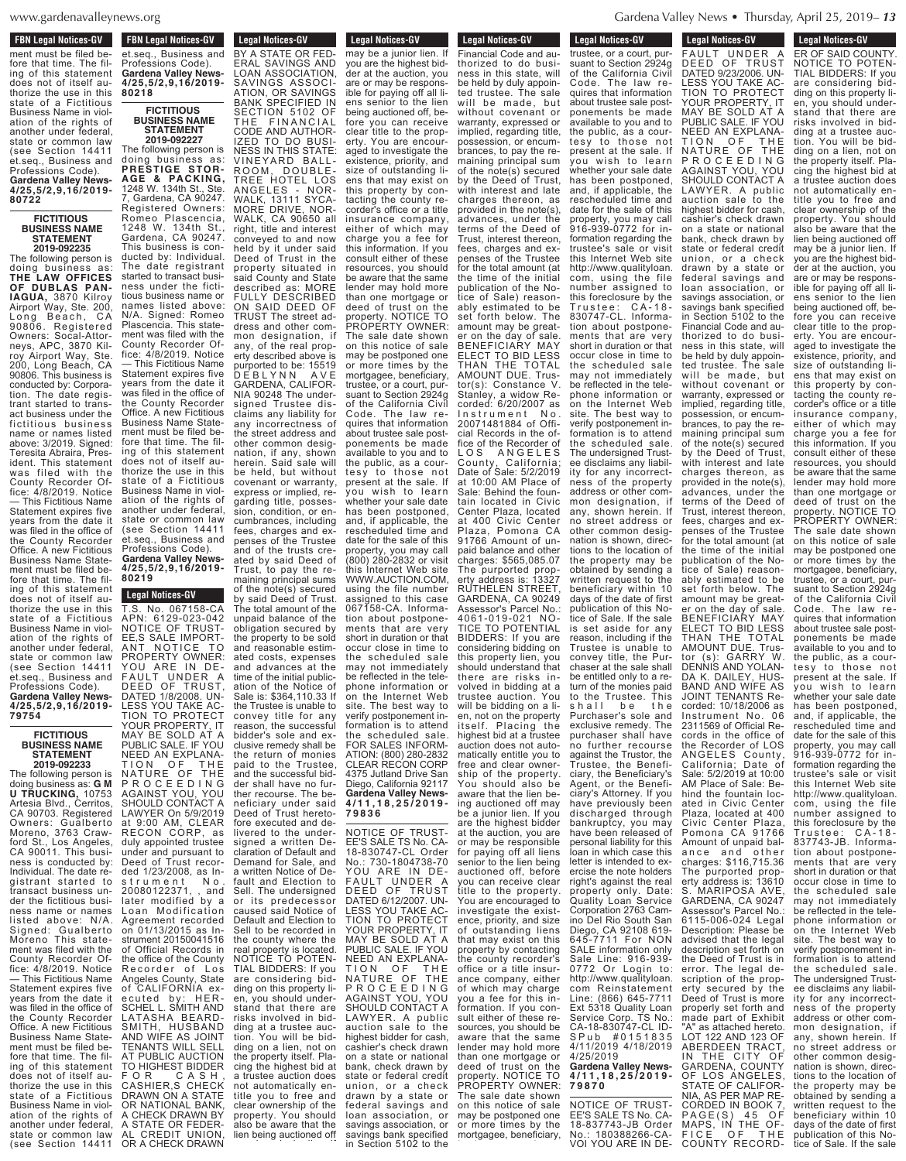### **FBN Legal Notices-GV FUSICAL STATES** ment must be filed be-

fore that time. The filing of this statement does not of itself authorize the use in this state of a Fictitious Business Name in violation of the rights of another under federal, state or common law (see Section 14411 et.seq., Business and Professions Code). **Gardena Valley News-4/25,5/2,9,16/2019- 80722**

### **FICTITIOUS BUSINESS NAME STATEMENT 2019-092235**

The following person is doing business as: **THE LAW OFFICES OF DUBLAS PAN-IAGUA,** 3870 Kilroy Airport Way, Ste. 200, Long Beach, 90806. Registered Owners: Socal-Attorneys, APC, 3870 Kilroy Airport Way, Ste. 200, Long Beach, CA 90806. This business is conducted by: Corporation. The date registrant started to transact business under the fictitious business name or names listed above: 3/2019. Signed: Teresita Abraira, President. This statement was filed with the County Recorder Office: 4/8/2019. Notice — This Fictitious Name Statement expires five years from the date it was filed in the office of the County Recorder Office. A new Fictitious Business Name Statement must be filed before that time. The filing of this statement does not of itself authorize the use in this state of a Fictitious Business Name in violation of the rights of another under federal, state or common (see Section 14411 et.seq., Business and Professions Code).

**Gardena Valley News-4/25,5/2,9,16/2019- 79754**

#### **FICTITIOUS BUSINESS NAME STATEMENT 2019-092233**

(see Section 14411) OR A CHECK DRAWN The following person is doing business as: **G M U TRUCKING,** 10753 Artesia Blvd., Cerritos, CA 90703. Registered Owners: Gualberto Moreno, 3763 Crawford St., Los Angeles, CA 90011. This business is conducted by: Individual. The date registrant started to transact business under the fictitious business name or names listed above: N/A. listed above: N/A.<br>Signed: Gualberto Moreno This statement was filed with the County Recorder Office: 4/8/2019. Notice — This Fictitious Name Statement expires five years from the date it was filed in the office of the County Recorder Office. A new Fictitious Business Name Statement must be filed before that time. The filing of this statement does not of itself authorize the use in this state of a Fictitious Business Name in violation of the rights of another under federal, state or common law

**FBN Legal Notices-GV FON LEGAL NULLES-GV** et.seq., Business and Professions Code). **Gardena Valley News-4/25,5/2,9,16/2019- 80218**

**FICTITIOUS BUSINESS NAME STATEMENT 2019-092227**

The following person is

D E B L Y N N doing business as: **PRESTIGE STOR-AGE & PACKING,** 1248 W. 134th St., Ste. 7, Gardena, CA 90247. Registered Owners: Romeo Plascencia, 1248 W. 134th St., Gardena, CA 90247. This business is conducted by: Individual. The date registrant started to transact business under the fictitious business name or names listed above: N/A. Signed: Romeo Plascencia. This statement was filed with the County Recorder Office: 4/8/2019. Notice — This Fictitious Name Statement expires five years from the date it was filed in the office of the County Recorder Office. A new Fictitious Business Name Statement must be filed before that time. The filing of this statement does not of itself authorize the use in this state of a Fictitious Business Name in violation of the rights of another under federal, state or common law (see Section 14411 et.seq., Business and

rofessions Code). **Gardena Valley News-4/25,5/2,9,16/2019- 80219**

# **Legal Notices-GV**

The total amount of the unpaid balance of the obligation secured by the property to be sold and reasonable estimated costs, expenses and advances at the time of the initial publication of the Notice of Sale is: \$364,110.33 If the Trustee is unable to convey title for any reason, the successful bidder's sole and exclusive remedy shall be the return of monies paid to the Trustee, and the successful bidder shall have no further recourse. The beneficiary under said Deed of Trust heretofore executed and delivered to the undersigned a written De-claration of Default and Demand for Sale, and a written Notice of Default and Election to Sell. The undersigned or its predecessor caused said Notice of Default and Election to Sell to be recorded in the county where the real property is located. NOTICE TO POTEN-TIAL BIDDERS: If you are considering bidding on this property lien, you should understand that there are risks involved in bidding at a trustee auction. You will be bidding on a lien, not on the property itself. Placing the highest bid at a trustee auction does not automatically entitle you to free and clear ownership of the property. You should also be aware that the lien being auctioned off T.S. No. 067158-CA APN: 6129-023-042 NOTICE OF TRUST-EE,S SALE IMPORT-ANT NOTICE TO PROPERTY OWNER: YOU ARE IN DE-FAULT UNDER A DEED OF TRUST, DATED 1/8/2008. UN-LESS YOU TAKE AC-TION TO PROTECT YOUR PROPERTY, IT MAY BE SOLD AT A PUBLIC SALE. IF YOU NEED AN EXPLANA-TION OF THE NATURE OF THE P R O C E E D I N G AGAINST YOU, YOU SHOULD CONTACT A LAWYER On 5/9/2019 at 9:00 AM, CLEAR RECON CORP, as duly appointed trustee under and pursuant to Deed of Trust recorded 1/23/2008, as ln-<br>strument No s t r u m e n t N o . 20080122371, , and later modified by a Loan Modification Agreement recorded on 01/13/2015 as Instrument 20150041516 of Official Records in the office of the County Recorder of Los Angeles County, State of CALIFORNIA executed by: HER-SCHEL L. SMITH AND LATASHA BEARD-SMITH, HUSBAND AND WIFE AS JOINT TENANTS WILL SELL AT PUBLIC AUCTION TO HIGHEST BIDDER F O R C A S H ,<br>CASHIER,S CHECK DRAWN ON A STATE OR NATIONAL BANK, A CHECK DRAWN BY A STATE OR FEDER-AL CREDIT UNION,

may be a junior lien. you are the highest bidder at the auction, you are or may be responsible for paying off all liens senior to the lien being auctioned off, before you can receive clear title to the property. You are encouraged to investigate the existence, priority, and size of outstanding liens that may exist on this property by contacting the county recorder's office or a title insurance company, either of which may charge you a fee for this information. If you consult either of these resources, you should be aware that the same lender may hold more than one mortgage or deed of trust on the property. NOTICE TO PROPERTY OWNER: The sale date shown on this notice of sale may be postponed one or more times by the mortgagee, beneficiary, trustee, or a court, pursuant to Section 2924g of the California Civil Code. The law requires that information about trustee sale postponements be made available to you and to the public, as a courtesy to those not present at the sale. If you wish to learn whether your sale date has been postponed. and, if applicable, the rescheduled time and date for the sale of this property, you may call (800) 280-2832 or visit this Internet Web site WWW.AUCTION.COM, using the file number assigned to this case 067158-CA. Information about postponements that are very short in duration or that occur close in time to the scheduled sale may not immediately be reflected in the telephone information or on the Internet Web site. The best way to verify postponement information is to attend<br>the scheduled sale. the scheduled FOR SALES INFORM-ATION: (800) 280-2832 CLEAR RECON CORP 4375 Jutland Drive San Diego, California 92117 **Gardena Valley News-4 / 1 1 , 1 8 , 2 5 / 2 0 1 9 - 7 9 8 3 6** NOTICE OF TRUST-EE'S SALE TS No. CA-18-830747-CL Order No.: 730-1804738-70 YOU ARE IN DE-FAULT UNDER A DEED OF TRUST DATED 6/12/2007. UN-BY A STATE OR FED ERAL SAVINGS AND LOAN ASSOCIATION, SAVINGS ASSOCI-ATION, OR SAVINGS BANK SPECIFIED IN SECTION 5102 OF<br>SECTION 5102 OF F IN A N C I A L CODE AND AUTHOR-IZED TO DO BUSI-NESS IN THIS STATE: VINEYARD BALL-ROOM, DOUBLE-TREE HOTEL LOS ANGELES - NOR-WALK, 13111 SYCA-MORE DRIVE, NOR-WALK, CA 90650 all right, title and interest conveyed to and now held by it under said Deed of Trust in the property situated in said County and State described as: MORE FULLY DESCRIBED ON SAID DEED OF TRUST The street address and other common designation, if any, of the real property described above is purported to be: 15519<br>D E B L Y N N A V E GARDENA, CALIFOR-NIA 90248 The undersigned Trustee disclaims any liability for any incorrectness of the street address and other common designation, if any, shown herein. Said sale will be held, but without covenant or warranty, express or implied, regarding title, possession, condition, or encumbrances, including fees, charges and expenses of the Trustee and of the trusts created by said Deed of Trust, to pay the remaining principal sums of the note(s) secured by said Deed of Trust.

LESS YOU TAKE AC-TION TO PROTECT YOUR PROPERTY, IT MAY BE SOLD AT A PUBLIC SALE. IF YOU NEED AN EXPLANA-TION OF THE NATURE OF THE P R O C E E D I N G AGAINST YOU, YOU SHOULD CONTACT A LAWYER. A public auction sale to the highest bidder for cash, cashier's check drawn on a state or national bank, check drawn by state or federal credit union, or a check drawn by a state or federal savings and loan association, or savings association, or savings bank specified in Section 5102 to the Financial Code and au-

**Legal Notices-GV** Legal Nutices-GV

**Legal Notices-GV** Legal Nutres-GV

4/25/2019 18-837743-JB Order No.: 180388266-CA-VOI YOU ARE IN DE-**Legal Notices-GV** Legal Nutrices-GV Financial Code and authorized to do business in this state, will be held by duly appointed trustee. The sale will be made, but without covenant or warranty, expressed or implied, regarding title, possession, or encumbrances, to pay the remaining principal sum of the note(s) secured by the Deed of Trust, with interest and late charges thereon, as provided in the note(s), advances, under the terms of the Deed of Trust, interest thereon, fees, charges and expenses of the Trustee for the total amount (at the time of the initial publication of the Notice of Sale) reasonably estimated to be set forth below. The amount may be greater on the day of sale. BENEFICIARY MAY ELECT TO BID LESS THAN THE TOTAL AMOUNT DUE. Trustor(s): Constance V. Stanley, a widow Recorded: 6/20/2007 as Instrument No. 20071481884 of Official Records in the office of the Recorder of LOS ANGELES County, Cal ifornia; Date of Sale: 5/2/2019 at 10:00 AM Place of Sale: Behind the fountain located in Civic Center Plaza, located at 400 Civic Center Plaza, Pomona CA 91766 Amount of unpaid balance and other charges: \$565,085.07 The purported property address is: 13327 RUTHELEN STREET, GARDENA, CA 90249 Assessor's Parcel No.: 4061-019-021 NO-TICE TO POTENTIAL BIDDERS: If you are considering bidding on this property lien, you should understand that there are risks involved in bidding at a trustee auction. You will be bidding on a lien, not on the property itself. Placing the highest bid at a trustee auction does not automatically entitle you to free and clear ownership of the property. You should also be aware that the lien being auctioned off may be a junior lien. If you are the highest bidder at the auction, you are or may be responsible for paying off all liens senior to the lien being auctioned off, before you can receive clear title to the property. You are encouraged to investigate the existence, priority, and size of outstanding liens that may exist on this property by contacting the county recorder's office or a title insurance company, either of which may charge you a fee for this information. If you consult either of these resources, you should be aware that the same lender may hold more than one mortgage or deed of trust on the property. NOTICE TO PROPERTY OWNER: The sale date shown on this notice of sale may be postponed one or more times by the mortgagee, beneficiary, trustee, or a court, pur**Legal Notices-GV** 

Legal Nutrices-GV ER OF SAID COUNTY

**Legal Notices-GV** Legal Nutles-GV FAULT UNDER DEED OF TRUST DATED 9/23/2006. UN-LESS YOU TAKE AC-<br>TION TO PROTECT PROTECT YOUR PROPERTY, IT MAY BE SOLD AT PUBLIC SALE. IF YOU NEED AN EXPLANA-TION OF THE NATURE OF THE P R O C E E D I N G AGAINST YOU, YOU SHOULD CONTACT A LAWYER. A public auction sale to the highest bidder for cash, cashier's check drawn on a state or national bank, check drawn by state or federal credit union, or a check drawn by a state or federal savings and loan association, or savings association, or savings bank specified in Section 5102 to the Financial Code and authorized to do business in this state, will be held by duly appointed trustee. The sale will be made, but without covenant or warranty, expressed or implied, regarding title, possession, or encumbrances, to pay the remaining principal sum of the note(s) secured by the Deed of Trust, with interest and late charges thereon, as provided in the note(s), advances, under the terms of the Deed of Trust, interest thereon, fees, charges and expenses of the Trustee for the total amount (at the time of the initial publication of the Notice of Sale) reasonably estimated to be set forth below. The amount may be greater on the day of sale. BENEFICIARY MAY ELECT TO BID LESS THAN THE TOTAL AMOUNT DUE. Trustor (s): GARRY W. DENNIS AND YOLAN-DA K. DAILEY, HUS-BAND AND WIFE AS JOINT TENANTS Recorded: 10/18/2006 as Instrument No. 2311569 of Official Records in the office of the Recorder of LOS ANGELES County, California; Date of Sale: 5/2/2019 at 10:00 AM Place of Sale: Behind the fountain located in Civic Center Plaza, located at 400 Civic Center Plaza, Pomona CA 91766 Amount of unpaid bala n c e a n d o t h e r charges: \$116,715.36 The purported property address is: 13610 S. MARIPOSA AVE, GARDENA, CA 90247 Assessor's Parcel No.: 6115-006-024 Legal Description: Please be advised that the legal description set forth on the Deed of Trust is in error. The legal de-scription of the property secured by the Deed of Trust is more properly set forth and made part of Exhibit "A" as attached hereto. LOT 122 AND 123 OF ABERDEEN TRACT, IN THE CITY OF GARDENA, COUNTY OF LOS ANGELES, STATE OF CALIFOR-NIA, AS PER MAP RE-CORDED IN BOOK 7, PAGE(S) 45 OF **Legal Notices-GV** Legal notices-uv trustee, or a court, pursuant to Section 2924g of the California Civil<br>Code. The law re-The law requires that information about trustee sale postponements be made available to you and to the public, as a courtesy to those not present at the sale. If .<br>you wish to learn whether your sale date has been postponed, and, if applicable, the rescheduled time and date for the sale of this property, you may call 916-939-0772 for information regarding the trustee's sale or visit this Internet Web site http://www.qualityloan. com, using the file number assigned to this foreclosure by the Trustee: CA-18-830747-CL. Information about postponements that are very short in duration or that occur close in time to the scheduled sale may not immediately be reflected in the telephone information or on the Internet Web site. The best way to verify postponement information is to attend the scheduled sale. The undersigned Trustee disclaims any liability for any incorrectness of the property address or other common designation, if any, shown herein. If no street address or other common designation is shown, directions to the location of the property may be obtained by sending a written request to the beneficiary within 10 days of the date of first publication of this Notice of Sale. If the sale is set aside for any reason, including if the Trustee is unable to convey title, the Purchaser at the sale shall be entitled only to a return of the monies paid to the Trustee. This shall be the Purchaser's sole and exclusive remedy. The purchaser shall have no further recourse against the Trustor, the Trustee, the Beneficiary, the Beneficiary's Agent, or the Beneficiary's Attorney. If you have previously been discharged through bankruptcy, you may have been released of personal liability for this loan in which case this letter is intended to exercise the note holders right's against the real property only. Date: Quality Loan Service Corporation 2763 Camino Del Rio South San Diego, CA 92108 619- 645-7711 For NON SALE information only Sale Line: 916-939- 0772 Or Login to: http://www.qualityloan. com Reinstatement Line: (866) 645-7711 Ext 5318 Quality Loan Service Corp. TS No.: CA-18-830747-CL ID-S P u b # 0 1 5 1 8 3 5 4/11/2019 4/18/2019 **Gardena Valley News-<sup>4</sup> / <sup>1</sup> <sup>1</sup> , <sup>1</sup> <sup>8</sup> , <sup>2</sup> <sup>5</sup> / <sup>2</sup> <sup>0</sup> <sup>1</sup> <sup>9</sup> - <sup>7</sup> <sup>9</sup> <sup>8</sup> <sup>7</sup> <sup>0</sup>** NOTICE OF TRUST-EE'S SALE TS No. CA-

MAPS, IN THE OF-FICE OF THE COUNTY RECORD-

NOTICE TO POTEN-TIAL BIDDERS: If you are considering bidding on this property lien, you should understand that there are risks involved in bidding at a trustee auction. You will be bidding on a lien, not on the property itself. Placing the highest bid at a trustee auction does not automatically entitle you to free and clear ownership of the property. You should also be aware that the lien being auctioned off may be a junior lien. If you are the highest bidder at the auction, you are or may be respons ible for paying off all liens senior to the lien being auctioned off, before you can receive clear title to the property. You are encouraged to investigate the existence, priority, and size of outstanding liens that may exist on this property by contacting the county recorder's office or a title insurance company, either of which may charge you a fee for this information. If you consult either of these resources, you should be aware that the same lender may hold more than one mortgage or deed of trust on the property. NOTICE TO PROPERTY OWNER: The sale date shown on this notice of sale may be postponed one or more times by the mortgagee, beneficiary, trustee, or a court, pursuant to Section 2924g of the California Civil Code. The law requires that information about trustee sale postponements be made available to you and to the public, as a courtesy to those not present at the sale. If .<br>vou wish to learn whether your sale date has been postponed, and, if applicable, the rescheduled time and date for the sale of this property, you may call 916-939-0772 for information regarding the trustee's sale or visit this Internet Web site http://www.qualityloan. com, using the file number assigned to this foreclosure by the Trustee: CA-18-837743-JB. Information about postpone-ments that are very short in duration or that occur close in time to the scheduled sale may not immediately be reflected in the telephone information or on the Internet Web site. The best way to verify postponement information is to attend the scheduled sale. The undersigned Trustee disclaims any liability for any incorrectness of the property address or other common designation, if any, shown herein. If no street address or other common designation is shown, directions to the location of the property may be obtained by sending a written request to the beneficiary within 10 days of the date of first publication of this Notice of Sale. If the sale  $\overline{\phantom{a}}$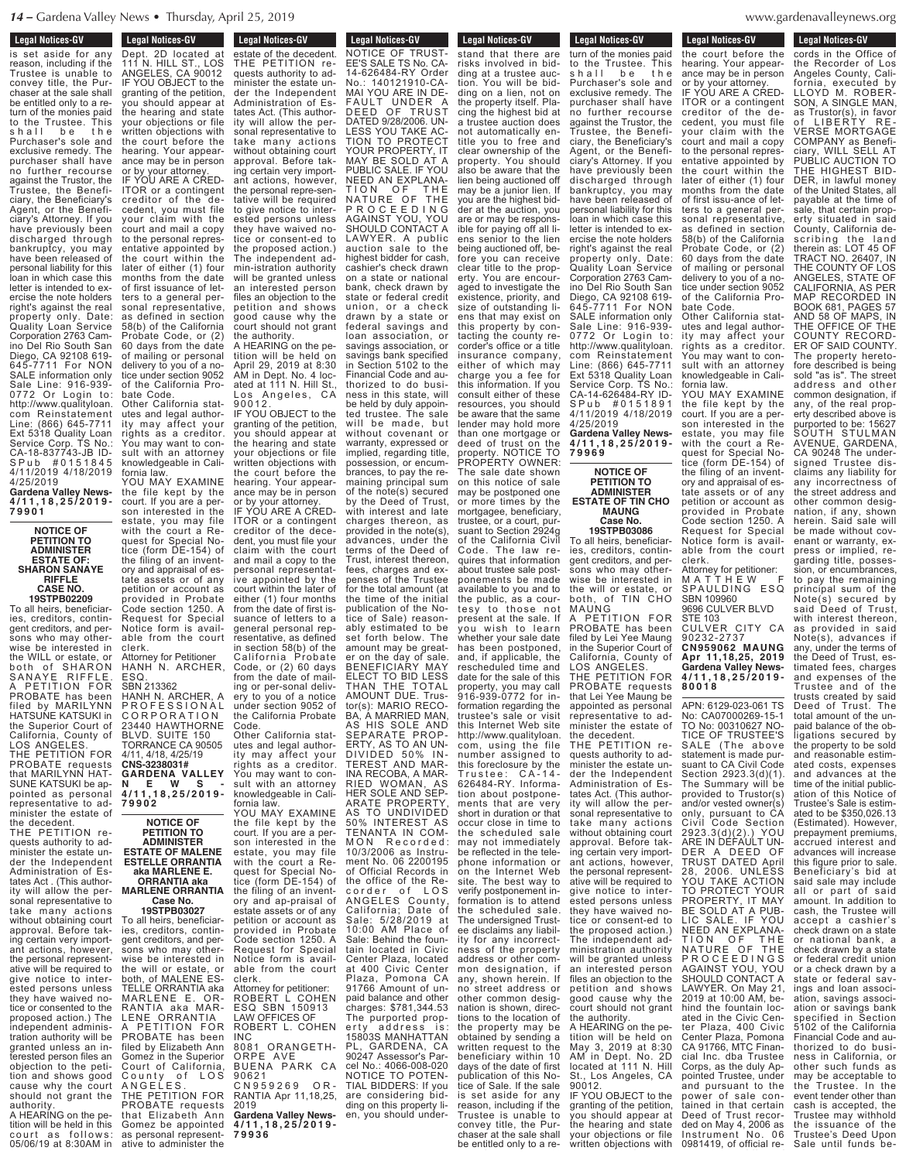#### **Legal Notices-GV** Legal Nutrices-GV

is set aside for any reason, including if the Trustee is unable to convey title, the Purchaser at the sale shall be entitled only to a return of the monies paid to the Trustee. This shall be the Purchaser's sole and exclusive remedy. The purchaser shall have no further recourse against the Trustor, the Trustee, the Beneficiary, the Beneficiary's Agent, or the Beneficiary's Attorney. If you have previously been discharged through bankruptcy, you may have been released of personal liability for this loan in which case this letter is intended to exercise the note holders right's against the real property only. Date: Quality Loan Service Corporation 2763 Camino Del Rio South San Diego, CA 92108 619- 645-7711 For NON SALE information only Sale Line: 916-939- 0772 Or Login to: http://www.qualityloan. com Reinstatement Line: (866) 645-7711 Ext 5318 Quality Loan Service Corp. TS No.: CA-18-837743-JB ID-S P u b # 0 1 5 1 8 4 5 4/11/2019 4/18/2019 4/25/2019 **Gardena Valley News-**

**4 / 1 1 , 1 8 , 2 5 / 2 0 1 9 - 7 9 9 0 1**

**NOTICE OF PETITION TO ADMINISTER ESTATE OF: SHARON SANAYE RIFFLE CASE NO. 19STPB02209**

To all heirs, beneficiaries, creditors, contingent creditors, and persons who may otherwise be interested in the WILL or estate, both of SHARON SANAYE RIFFLE. A PETITION FOR PROBATE has been filed by MARILYNN HATSUNE KATSUKI in the Superior Court of California, County of LOS ANGELES. THE PETITION FOR

PROBATE requests that MARILYNN HAT-SUNE KATSUKI be appointed as personal representative to administer the estate of the decedent.

THE PETITION requests authority to administer the estate under the Independent Administration of Estates Act . (This authority will allow the personal representative to take many actions without obtaining court approval. Before taking certain very important actions, however, the personal representative will be required to give notice to interested persons unless they have waived notice or consented to the proposed action.) The independent administration authority will be granted unless an interested person files an objection to the petition and shows good cause why the court should not grant the authority.

A HEARING on the petition will be held in this court as follows: 05/06/19 at 8:30AM in

**Legal Notices-GV** Legal Nutrices-GV Dept. 2D located at<br>111 N. HILL ST., LOS 111 N. HILL ST., LOS ANGELES, CA 90012 IF YOU OBJECT to the granting of the petition, you should appear at the hearing and state your objections or file written objections with the court before the hearing. Your appearance may be in person or by your attorney. IF YOU ARE A CRED-ITOR or a contingent creditor of the decedent, you must file your claim with the court and mail a copy to the personal repres entative appointed by the court within the later of either (1) four months from the date of first issuance of letters to a general personal representative. as defined in section 58(b) of the California Probate Code, or (2) 60 days from the date of mailing or personal delivery to you of a notice under section 9052 of the California Probate Code. Other California statutes and legal authority may affect your rights as a creditor. You may want to consult with an attorney

knowledgeable in California law. YOU MAY EXAMINE the file kept by the court. If you are a person interested in the estate, you may file with the court a Request for Special Notice (form DE-154) of the filing of an inventory and appraisal of estate assets or of any petition or account as provided in Probate Code section 1250. A Request for Special Notice form is available from the court clerk. Attorney for Petitioner HANH N. ARCHER, ESQ. SBN 213362 HANH N. ARCHER, A P R O F E S S I O N A L C O R P O R A T I O N 23440 HAWTHORNE BLVD. SUITE 150

TORRANCE CA 90505 4/11, 4/18, 4/25/19 **CNS-3238031# GARDENA VALLEY N E W S - 4 / 1 1 , 1 8 , 2 5 / 2 0 1 9 - 7 9 9 0 2**

**NOTICE OF PETITION TO ADMINISTER ESTATE OF MALENE ESTELLE ORRANTIA aka MARLENE E. ORRANTIA aka MARLENE ORRANTIA Case No.**

**19STPB03027** To all heirs, beneficiaries, creditors, contingent creditors, and persons who may otherwise be interested in the will or estate, or both, of MALENE ES-TELLE ORRANTIA aka MARLENE E. OR-RANTIA aka MAR-LENE ORRANTIA A PETITION FOR PROBATE has been filed by Elizabeth Ann Gomez in the Superior Court of California County of LOS A N G E L E S . THE PETITION FOR PROBATE requests that Elizabeth Ann Gomez be appointed as personal representative to administer the

**Legal Notices-GV**  $\frac{1}{2}$ gonez bet Legal Nutries-dv estate of the decedent. THE PETITION requests authority to administer the estate under the Independent Administration of Estates Act. (This authority will allow the personal representative to take many actions without obtaining court approval. Before taking certain very important actions, however, the personal repre-sentative will be required to give notice to interested persons unless they have waived notice or consent-ed to the proposed action.) The independent admin-istration authority will be granted unless an interested person files an objection to the petition and shows good cause why the court should not grant the authority. A HEARING on the pe-

tition will be held on April 29, 2019 at 8:30 AM in Dept. No. 4 located at 111 N. Hill St. Los Angeles, CA 9 0 0 1 2 . IF YOU OBJECT to the

granting of the petition, you should appear at the hearing and state your objections or file written objections with the court before the hearing. Your appearance may be in person or by your attorney. IF YOU ARE A CRED-ITOR or a contingent creditor of the decedent, you must file your claim with the court and mail a copy to the personal representative appointed by the court within the later of either (1) four months from the date of first issuance of letters to a general personal representative, as defined in section 58(b) of the Cal ifornia Probate Code, or (2) 60 days from the date of mailing or per-sonal delivery to you of a notice under section 9052 of the California Probate Code. Other California stat-

utes and legal authority may affect your rights as a creditor. You may want to consult with an attorney knowledgeable in California law. YOU MAY EXAMINE

the file kept by the court. If you are a person interested in the<br>estate, you may file with the court a Request for Special Noice (form DE-154) of the filing of an inventory and ap-praisal of estate assets or of any petition or account as provided in Probate Code section 1250. A Request for Special Notice form is available from the court clerk. Attorney for petitioner: ROBERT L COHEN ESQ SBN 150913 LAW OFFICES OF ROBERT L. COHEN INC ....<br>8081 ORANGETH-<br>ORPE AVE ORPE AVE BUENA PARK CA 9 0 6 2 1 C N 9 5 9 2 6 9 O R - RANTIA Apr 11,18,25,

2019

**7 9 9 3 6**

LESS YOU TAKE AC-TION TO PROTECT YOUR PROPERTY, IT MAY BE SOLD AT A<br>PUBLIC SALE. IF YOU **PUBLIC SALE.** NEED AN EXPLANA-TION OF THE NATURE OF THE P R O C E E D I N G AGAINST YOU, YOU SHOULD CONTACT A LAWYER. A public auction sale to the highest bidder for cash, cashier's check drawn on a state or national bank, check drawn by state or federal credit union, or a check drawn by a state or federal savings and loan association, or savings association, or savings bank specified in Section 5102 to the Financial Code and authorized to do business in this state, will be held by duly appointed trustee. The sale will be made, but without covenant or warranty, expressed or implied, regarding title, possession, or encumbrances, to pay the remaining principal sum of the note(s) secured by the Deed of Trust. with interest and late charges thereon, as provided in the note(s), advances, under the terms of the Deed of Trust, interest thereon, fees, charges and expenses of the Trustee for the total amount (at the time of the initial publication of the Notice of Sale) reasonably estimated to be set forth below. The amount may be greater on the day of sale. BENEFICIARY MAY ELECT TO BID LESS THAN THE TOTAL AMOUNT DUE. Trustor(s): MARIO RECO-BA, A MARRIED MAN, AS HIS SOLE AND SEPARATE PROP-ERTY, AS TO AN UN-DIVIDED 50% IN-TEREST AND MAR-INA RECOBA, A MAR-RIED WOMAN, AS HER SOLE AND SEP-ARATE PROPERTY, AS TO UNDIVIDED 50% INTEREST AS TENANTA IN COM-M O N Recorded:<br>10/3/2006 as Instrument No. 06 2200195 of Official Records in the office of the Recorder of LOS ANGELES County, California; Date of Sale: 5/28/2019 at 10:00 AM Place of Sale: Behind the fountain located in Civic Center Plaza, located at 400 Civic Center Plaza, Pomona CA 91766 Amount of unpaid balance and other charges: \$781,344.53 The purported prop-<br>erty address is erty address is: 15803S MANHATTAN PL, GARDENA, CA 90247 Assessor's Parcel No.: 4066-008-020 NOTICE TO POTEN-TIAL BIDDERS: If you are considering bidding on this property lien, you should under-**Gardena Valley News-4 / 1 1 , 1 8 , 2 5 / 2 0 1 9 -**

**Legal Notices-GV** NOTICE OF TRUST-EE'S SALE TS No. CA-14-626484-RY Order No.: 140121910-CA-MAI YOU ARE IN DE-FAULT UNDER A DEED OF TRUST DATED 9/28/2006. UN-

turn of the monies paid **7 9 9 6 9** Legal Nutries-GV stand that there risks involved in bidding at a trustee auction. You will be bidding on a lien, not on the property itself. Placing the highest bid at a trustee auction does not automatically entitle you to free and clear ownership of the property. You should also be aware that the lien being auctioned off may be a junior lien. If you are the highest bidder at the auction, you are or may be responsible for paying off all liens senior to the lien being auctioned off, before you can receive clear title to the property. You are encouraged to investigate the existence, priority, and size of outstanding liens that may exist on this property by contacting the county recorder's office or a title insurance company, either of which may charge you a fee for this information. If you consult either of these resources, you should be aware that the same lender may hold more than one mortgage or deed of trust on the property. NOTICE TO PROPERTY OWNER: The sale date shown on this notice of sale may be postponed one or more times by the mortgagee, beneficiary, trustee, or a court, pursuant to Section 2924g of the California Civil Code. The law requires that information about trustee sale postponements be made available to you and to the public, as a courtesy to those not present at the sale. If you wish to learn whether your sale date has been postponed, and, if applicable, the rescheduled time and date for the sale of this property, you may call 916-939-0772 for information regarding the trustee's sale or visit this Internet Web site http://www.qualityloan. com, using the file number assigned to this foreclosure by the T r u s t e e : C A - 1 4 - 626484-RY. Information about postponements that are very short in duration or that occur close in time to the scheduled sale may not immediately be reflected in the telephone information or on the Internet Web site. The best way to verify postponement information is to attend the scheduled sale. The undersigned Trustee disclaims any liability for any incorrect-<br>ness of the property ness of the property address or other common designation, if any, shown herein. If no street address or other common designation is shown, directions to the location of the property may be obtained by sending a written request to the beneficiary within 10 days of the date of first publication of this Notice of Sale. If the sale is set aside for any reason, including if the Trustee is unable to convey title, the Purchaser at the sale shall be entitled only to a re-

**Legal Notices-GV** 

**Legal Notices-GV Legal Nutiles-GV** 

to the Trustee. This<br>shall be the shall be the Purchaser's sole and exclusive remedy. The purchaser shall have no further recourse against the Trustor, the Trustee, the Beneficiary, the Beneficiary's Agent, or the Beneficiary's Attorney. If you have previously been discharged through bankruptcy, you may have been released of personal liability for this loan in which case this letter is intended to exercise the note holders right's against the real property only. Date: Quality Loan Service Corporation 2763 Camino Del Rio South San Diego, CA 92108 619- 645-7711 For NON SALE information only Sale Line: 916-939- 0772 Or Login to: http://www.qualityloan. com Reinstatement Line: (866) 645-7711 Ext 5318 Quality Loan Service Corp. TS No.: CA-14-626484-RY ID-S P u b # 0 1 5 1 8 9 1 4/11/2019 4/18/2019 4/25/2019 **Gardena Valley News-4 / 1 1 , 1 8 , 2 5 / 2 0 1 9 -**

**NOTICE OF PETITION TO ADMINISTER ESTATE OF TIN CHO MAUNG Case No.**

**19STPB03086** To all heirs, beneficiaries, creditors, contingent creditors, and persons who may otherwise be interested in the will or estate, or both, of TIN CHO MAUNG PETITION FOR PROBATE has been

filed by Lei Yee Maung in the Superior Court of California, County of LOS ANGELES. THE PETITION FOR PROBATE requests that Lei Yee Maung be appointed as personal representative to administer the estate of the decedent.

THE PETITION requests authority to administer the estate under the Independent Administration of Estates Act. (This authority will allow the personal representative to take many actions without obtaining court approval. Before tak-ing certain very important actions, however, the personal representative will be required to give notice to interested persons unless they have waived notice or consent-ed to the proposed action.) The independent ad- ministration authority will be granted unless an interested person files an objection to the petition and shows good cause why the court should not grant the authority.

A HEARING on the petition will be held on May 3, 2019 at 8:30 AM in Dept. No. 2D located at 111 N. Hill St., Los Angeles, CA 90012.

IF YOU OBJECT to the granting of the petition, you should appear at the hearing and state your objections or file written objections with<br>
<u>.</u>

#### denavalleynews.org  $\frac{1}{2}$ you show when  $WWW, \mathcal{Q}$ the hearing and state  $\frac{1}{2}$

**Legal Notices-GV** Legal Nutrices-GV cords in the Office of the Recorder of Los Angeles County, California, executed by LLOYD M. ROBER-SON, A SINGLE MAN, as Trustor(s), in favor of LIBERTY RE-VERSE MORTGAGE COMPANY as Beneficiary, WILL SELL AT **Legal Notices-GV** Legal Nutles-GV the court before the hearing. Your appearance may be in person or by your attorney. IF YOU ARE A CRED-ITOR or a contingent creditor of the decedent, you must file your claim with the court and mail a copy to the personal representative appointed by the court within the later of either (1) four months from the date of first issu-ance of letters to a general personal representative, as defined in section 58(b) of the California Probate Code, or (2) 60 days from the date of mailing or personal delivery to you of a notice under section 9052 of the California Probate Code. Other California statutes and legal authority may affect your rights as a creditor. You may want to con-

sult with an attorney knowledgeable in California law. YOU MAY EXAMINE the file kept by the court. If you are a person interested in the estate, you may file with the court a Request for Special Notice (form DE-154) of the filing of an inventory and appraisal of estate assets or of any petition or account as provided in Probate Code section 1250. A Request for Special Notice form is available from the court clerk.

Attorney for petitioner: M A T T H E W F SPAULDING ESQ SBN 109960 9696 CULVER BLVD

STE 103 CULVER CITY CA 90232-2737 **CN959062 MAUNG Apr 11,18,25, 2019 Gardena Valley News-4 / 1 1 , 1 8 , 2 5 / 2 0 1 9 - 8 0 0 1 8**

APN: 6129-023-061 TS No: CA07000269-15-1 TO No: 00310627 NO-TICE OF TRUSTEE'S SALE (The above statement is made pursuant to CA Civil Code Section 2923.3(d)(1). The Summary will be provided to Trustor(s) and/or vested owner(s) only, pursuant to CA Civil Code Section 2923.3(d)(2).) YOU ARE IN DEFAULT UN-DER A DEED OF TRUST DATED April 28, 2006. UNLESS YOU TAKE ACTION TO PROTECT YOUR PROPERTY, IT MAY BE SOLD AT A PUB-LIC SALE. IF YOU NEED AN EXPLANA-TION OF THE NATURE OF THE P R O C E E D I N G S AGAINST YOU, YOU SHOULD CONTACT A LAWYER. On May 21, 2019 at 10:00 AM, behind the fountain located in the Civic Center Plaza, 400 Civic Center Plaza, Pomona CA 91766, MTC Financial Inc. dba Trustee Corps, as the duly Appointed Trustee, under and pursuant to the power of sale contained in that certain Deed of Trust recorded on May 4, 2006 as Instrument No. 06 0981419, of official re-

PUBLIC AUCTION TO THE HIGHEST BID-DER, in lawful money of the United States, all payable at the time of sale, that certain property situated in said County, California describing the land therein as: LOT 45 OF TRACT NO. 26407, IN THE COUNTY OF LOS ANGELES, STATE OF CALIFORNIA, AS PER MAP RECORDED IN BOOK 681, PAGES 57 AND 58 OF MAPS, IN THE OFFICE OF THE COUNTY RECORD-ER OF SAID COUNTY. The property heretofore described is being sold "as is". The street address and other common designation, if any, of the real property described above is purported to be: 15627 SOUTH STULMAN AVENUE, GARDENA, CA 90248 The undersigned Trustee disclaims any liability for any incorrectness of the street address and other common designation, if any, shown herein. Said sale will be made without covenant or warranty, express or implied, regarding title, possession, or encumbrances, to pay the remaining principal sum of the Note(s) secured by said Deed of Trust with interest thereon, as provided in said Note(s), advances if any, under the terms of the Deed of Trust, estimated fees, charges and expenses of the Trustee and of the trusts created by said<br>Deed of Trust, The Deed of Trust. total amount of the unpaid balance of the obligations secured by the property to be sold and reasonable estimated costs, expenses and advances at the time of the initial publication of this Notice of Trustee's Sale is estimated to be \$350,026.13 (Estimated). However, prepayment premiums, accrued interest and advances will increase this figure prior to sale Beneficiary's bid at said sale may include all or part of said amount. In addition to cash, the Trustee will accept a cashier's check drawn on a state or national bank, a check drawn by a state or federal credit union or a check drawn by a state or federal savings and loan association, savings association or savings bank specified in Section 5102 of the California Financial Code and authorized to do business in California, or other such funds as may be acceptable to the Trustee. In the event tender other than cash is accepted, the Trustee may withhold the issuance of the Trustee's Deed Upon Sale until funds become available to the